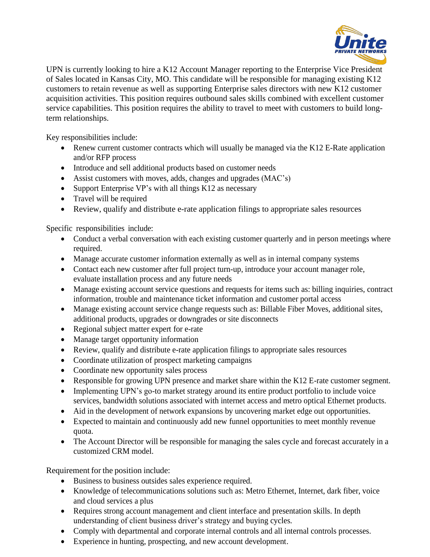

UPN is currently looking to hire a K12 Account Manager reporting to the Enterprise Vice President of Sales located in Kansas City, MO. This candidate will be responsible for managing existing K12 customers to retain revenue as well as supporting Enterprise sales directors with new K12 customer acquisition activities. This position requires outbound sales skills combined with excellent customer service capabilities. This position requires the ability to travel to meet with customers to build longterm relationships.

Key responsibilities include:

- Renew current customer contracts which will usually be managed via the K12 E-Rate application and/or RFP process
- Introduce and sell additional products based on customer needs
- Assist customers with moves, adds, changes and upgrades (MAC's)
- Support Enterprise VP's with all things K12 as necessary
- Travel will be required
- Review, qualify and distribute e-rate application filings to appropriate sales resources

Specific responsibilities include:

- Conduct a verbal conversation with each existing customer quarterly and in person meetings where required.
- Manage accurate customer information externally as well as in internal company systems
- Contact each new customer after full project turn-up, introduce your account manager role, evaluate installation process and any future needs
- Manage existing account service questions and requests for items such as: billing inquiries, contract information, trouble and maintenance ticket information and customer portal access
- Manage existing account service change requests such as: Billable Fiber Moves, additional sites, additional products, upgrades or downgrades or site disconnects
- Regional subject matter expert for e-rate
- Manage target opportunity information
- Review, qualify and distribute e-rate application filings to appropriate sales resources
- Coordinate utilization of prospect marketing campaigns
- Coordinate new opportunity sales process
- Responsible for growing UPN presence and market share within the K12 E-rate customer segment.
- Implementing UPN's go-to market strategy around its entire product portfolio to include voice services, bandwidth solutions associated with internet access and metro optical Ethernet products.
- Aid in the development of network expansions by uncovering market edge out opportunities.
- Expected to maintain and continuously add new funnel opportunities to meet monthly revenue quota.
- The Account Director will be responsible for managing the sales cycle and forecast accurately in a customized CRM model.

Requirement for the position include:

- Business to business outsides sales experience required.
- Knowledge of telecommunications solutions such as: Metro Ethernet, Internet, dark fiber, voice and cloud services a plus
- Requires strong account management and client interface and presentation skills. In depth understanding of client business driver's strategy and buying cycles.
- Comply with departmental and corporate internal controls and all internal controls processes.
- Experience in hunting, prospecting, and new account development.